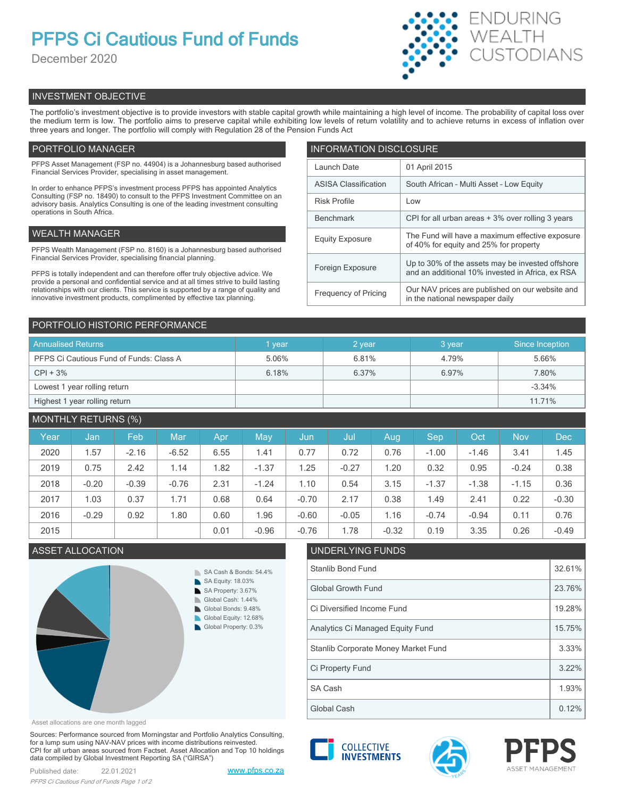# **PFPS Ci Cautious Fund of Funds**

December 2020



# INVESTMENT OBJECTIVE

The portfolio's investment objective is to provide investors with stable capital growth while maintaining a high level of income. The probability of capital loss over the medium term is low. The portfolio aims to preserve capital while exhibiting low levels of return volatility and to achieve returns in excess of inflation over three years and longer. The portfolio will comply with Regulation 28 of the Pension Funds Act

# PORTFOLIO MANAGER

PFPS Asset Management (FSP no. 44904) is a Johannesburg based authorised Financial Services Provider, specialising in asset management.

In order to enhance PFPS's investment process PFPS has appointed Analytics Consulting (FSP no. 18490) to consult to the PFPS Investment Committee on an advisory basis. Analytics Consulting is one of the leading investment consulting operations in South Africa.

# WEALTH MANAGER

PFPS Wealth Management (FSP no. 8160) is a Johannesburg based authorised Financial Services Provider, specialising financial planning.

PFPS is totally independent and can therefore offer truly objective advice. We provide a personal and confidential service and at all times strive to build lasting relationships with our clients. This service is supported by a range of quality and innovative investment products, complimented by effective tax planning.

| <b>INFORMATION DISCLOSURE</b> |                                                                                                      |  |  |  |  |
|-------------------------------|------------------------------------------------------------------------------------------------------|--|--|--|--|
| Launch Date                   | 01 April 2015                                                                                        |  |  |  |  |
| <b>ASISA Classification</b>   | South African - Multi Asset - Low Equity                                                             |  |  |  |  |
| <b>Risk Profile</b>           | Low                                                                                                  |  |  |  |  |
| <b>Benchmark</b>              | CPI for all urban areas + 3% over rolling 3 years                                                    |  |  |  |  |
| <b>Equity Exposure</b>        | The Fund will have a maximum effective exposure<br>of 40% for equity and 25% for property            |  |  |  |  |
| Foreign Exposure              | Up to 30% of the assets may be invested offshore<br>and an additional 10% invested in Africa, ex RSA |  |  |  |  |
| <b>Frequency of Pricing</b>   | Our NAV prices are published on our website and<br>in the national newspaper daily                   |  |  |  |  |

# PORTFOLIO HISTORIC PERFORMANCE

| <b>Annualised Returns</b>               | vear  | 2 year | 3 year | Since Inception |
|-----------------------------------------|-------|--------|--------|-----------------|
| PFPS Ci Cautious Fund of Funds: Class A | 5.06% | 6.81%  | 4.79%  | 5.66%           |
| $CPI + 3%$                              | 6.18% | 6.37%  | 6.97%  | 7.80%           |
| Lowest 1 year rolling return            |       |        |        | $-3.34%$        |
| Highest 1 year rolling return           |       |        |        | 11.71%          |

# MONTHLY RETURNS (%)

| Year | Jan     | Feb     | Mar     | Apr  | May     | Jun     | Jul     | Aug     | Sep     | Oct     | <b>Nov</b> | <b>Dec</b> |
|------|---------|---------|---------|------|---------|---------|---------|---------|---------|---------|------------|------------|
| 2020 | 1.57    | $-2.16$ | $-6.52$ | 6.55 | 1.41    | 0.77    | 0.72    | 0.76    | $-1.00$ | $-1.46$ | 3.41       | 1.45       |
| 2019 | 0.75    | 2.42    | 1.14    | 1.82 | $-1.37$ | 1.25    | $-0.27$ | 1.20    | 0.32    | 0.95    | $-0.24$    | 0.38       |
| 2018 | $-0.20$ | $-0.39$ | $-0.76$ | 2.31 | $-1.24$ | 1.10    | 0.54    | 3.15    | $-1.37$ | $-1.38$ | $-1.15$    | 0.36       |
| 2017 | 1.03    | 0.37    | 1.71    | 0.68 | 0.64    | $-0.70$ | 2.17    | 0.38    | 1.49    | 2.41    | 0.22       | $-0.30$    |
| 2016 | $-0.29$ | 0.92    | 1.80    | 0.60 | l.96    | $-0.60$ | $-0.05$ | 1.16    | $-0.74$ | $-0.94$ | 0.11       | 0.76       |
| 2015 |         |         |         | 0.01 | $-0.96$ | $-0.76$ | 1.78    | $-0.32$ | 0.19    | 3.35    | 0.26       | $-0.49$    |

# **ASSET ALLOCATION**



| 1.76 | 1.78                                | -0.32 | U. 19 | 3.35 | 0.26 | -0.49 |  |  |  |
|------|-------------------------------------|-------|-------|------|------|-------|--|--|--|
|      | UNDERLYING FUNDS                    |       |       |      |      |       |  |  |  |
|      | Stanlib Bond Fund                   |       |       |      |      |       |  |  |  |
|      | <b>Global Growth Fund</b>           |       |       |      |      |       |  |  |  |
|      | Ci Diversified Income Fund          |       |       |      |      |       |  |  |  |
|      | Analytics Ci Managed Equity Fund    |       |       |      |      |       |  |  |  |
|      | Stanlib Corporate Money Market Fund |       |       |      |      | 3.33% |  |  |  |
|      | Ci Property Fund                    |       |       |      |      | 3.22% |  |  |  |
|      | SA Cash                             |       |       |      |      | 1.93% |  |  |  |
|      | Global Cash                         |       |       |      |      | 0.12% |  |  |  |

Asset allocations are one month lagged

Sources: Performance sourced from Morningstar and Portfolio Analytics Consulting, for a lump sum using NAV-NAV prices with income distributions reinvested. CPI for all urban areas sourced from Factset. Asset Allocation and Top 10 holdings data compiled by Global Investment Reporting SA ("GIRSA")

Published date: 22.01.2021 [www.pfps.co.za](https://www.pfps.co.za/) *PFPS Ci Cautious Fund of Funds Page 1 of 2*